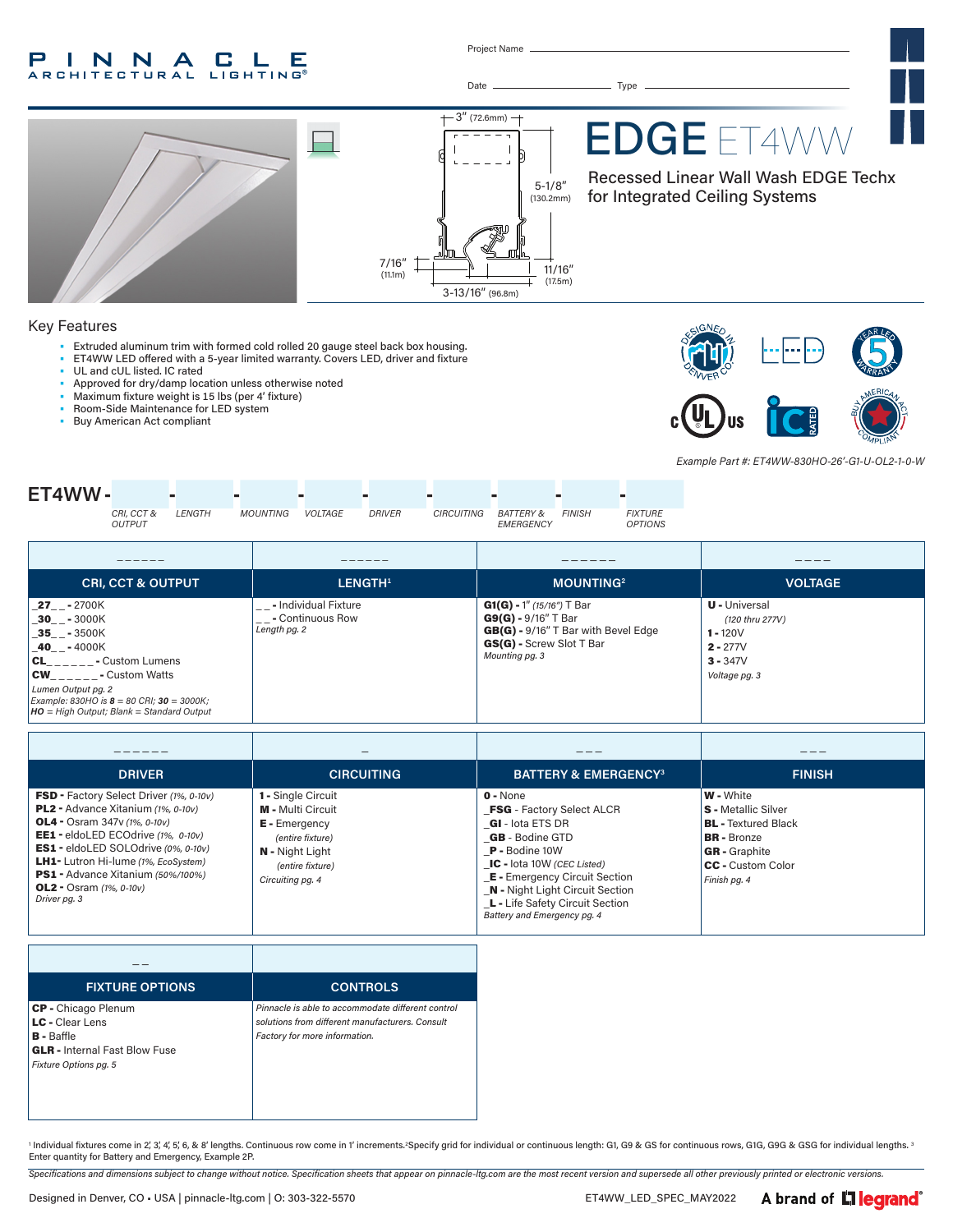#### P INNA  $\mathbf{L}$ C Е **ARCHITECTURAL LIGHTING®**

Project Name

 $+3''$  (72.6mm)  $+$ 

3-13/16" (96.8m)

Date Type

5-1/8" (130.2mm)

> 11/16" (17.5m)

# EDGE ET4WW

Recessed Linear Wall Wash EDGE Techx for Integrated Ceiling Systems

### Key Features

- Extruded aluminum trim with formed cold rolled 20 gauge steel back box housing.
- ET4WW LED offered with a 5-year limited warranty. Covers LED, driver and fixture
- UL and cUL listed. IC rated
- Approved for dry/damp location unless otherwise noted
- Maximum fixture weight is 15 lbs (per 4' fixture)
- Room-Side Maintenance for LED system
- Buy American Act compliant



*Example Part #: ET4WW-830HO-26'-G1-U-OL2-1-0-W*



7/16"  $(11.1m)$ 

| <b>CRI, CCT &amp; OUTPUT</b>                                                                                                                                                                                                                         | LENGTH <sup>1</sup>                                            | <b>MOUNTING2</b>                                                                                                                            | <b>VOLTAGE</b>                                                                                     |
|------------------------------------------------------------------------------------------------------------------------------------------------------------------------------------------------------------------------------------------------------|----------------------------------------------------------------|---------------------------------------------------------------------------------------------------------------------------------------------|----------------------------------------------------------------------------------------------------|
| <b>27</b> - 2700K<br>30 - 3000K<br>$35 - 3500K$<br>$-40$ $-$ - 4000K<br><b>CL</b> - Custom Lumens<br><b>CW</b> - Custom Watts<br>Lumen Output pg. 2<br>Example: 830HO is $8 = 80$ CRI; $30 = 3000$ K;<br>$HO = High Output; Blank = Standard Output$ | '__- Individual Fixture<br>'__- Continuous Row<br>Length pg. 2 | $G1(G) - 1''$ (15/16") T Bar<br>$G9(G) - 9/16''$ T Bar<br>GB(G) - 9/16" T Bar with Bevel Edge<br>GS(G) - Screw Slot T Bar<br>Mounting pg. 3 | <b>U</b> - Universal<br>(120 thru 277V)<br>$1 - 120V$<br>$2 - 277V$<br>$3 - 347V$<br>Voltage pg. 3 |

| <b>DRIVER</b>                                                                                                                                                                                                                                                                                                                                                      | <b>CIRCUITING</b>                                                                                                                                                   | <b>BATTERY &amp; EMERGENCY3</b>                                                                                                                                                                                                                                                                                  | <b>FINISH</b>                                                                                                                                                          |
|--------------------------------------------------------------------------------------------------------------------------------------------------------------------------------------------------------------------------------------------------------------------------------------------------------------------------------------------------------------------|---------------------------------------------------------------------------------------------------------------------------------------------------------------------|------------------------------------------------------------------------------------------------------------------------------------------------------------------------------------------------------------------------------------------------------------------------------------------------------------------|------------------------------------------------------------------------------------------------------------------------------------------------------------------------|
| FSD - Factory Select Driver (1%, 0-10v)<br><b>PL2</b> - Advance Xitanium (1%, 0-10v)<br><b>OL4</b> - Osram 347 $v$ (1%, 0-10 $v$ )<br>EE1 - eldoLED ECOdrive (1%, 0-10v)<br>ES1 - eldoLED SOLOdrive (0%, 0-10v)<br><b>LH1-</b> Lutron Hi-lume (1%, EcoSystem)<br><b>PS1</b> - Advance Xitanium (50%/100%)<br><b>OL2</b> - Osram $(1\%, 0\n-10\nu)$<br>Driver pg. 3 | <b>1 - Single Circuit</b><br><b>M</b> - Multi Circuit<br><b>E</b> - Emergency<br>(entire fixture)<br><b>N</b> - Night Light<br>(entire fixture)<br>Circuiting pg. 4 | $0 - None$<br><b>FSG</b> - Factory Select ALCR<br><b>GI</b> - lota ETS DR<br><b>GB</b> - Bodine GTD<br><b>P</b> - Bodine 10W<br>$IC$ - lota 10W (CEC Listed)<br><b>E</b> - Emergency Circuit Section<br><b>N</b> - Night Light Circuit Section<br>L - Life Safety Circuit Section<br>Battery and Emergency pg. 4 | <b>W</b> - White<br><b>S</b> - Metallic Silver<br><b>BL</b> - Textured Black<br><b>BR</b> - Bronze<br><b>GR</b> - Graphite<br><b>CC</b> - Custom Color<br>Finish pg. 4 |

| <b>FIXTURE OPTIONS</b>               | <b>CONTROLS</b>                                   |
|--------------------------------------|---------------------------------------------------|
| CP - Chicago Plenum                  | Pinnacle is able to accommodate different control |
| <b>LC</b> - Clear Lens               | solutions from different manufacturers. Consult   |
| $B - B$ affle                        | Factory for more information.                     |
| <b>GLR</b> - Internal Fast Blow Fuse |                                                   |
| Fixture Options pg. 5                |                                                   |
|                                      |                                                   |
|                                      |                                                   |
|                                      |                                                   |

1 Individual fixtures come in 2, 3, 4, 5, 6, & 8' lengths. Continuous row come in 1' increments.2Specify grid for individual or continuous length: G1, G9 & GS for continuous rows, G1G, G9G & GSG for individual lengths. 3 Enter quantity for Battery and Emergency, Example 2P.

*Specifications and dimensions subject to change without notice. Specification sheets that appear on pinnacle-ltg.com are the most recent version and supersede all other previously printed or electronic versions.*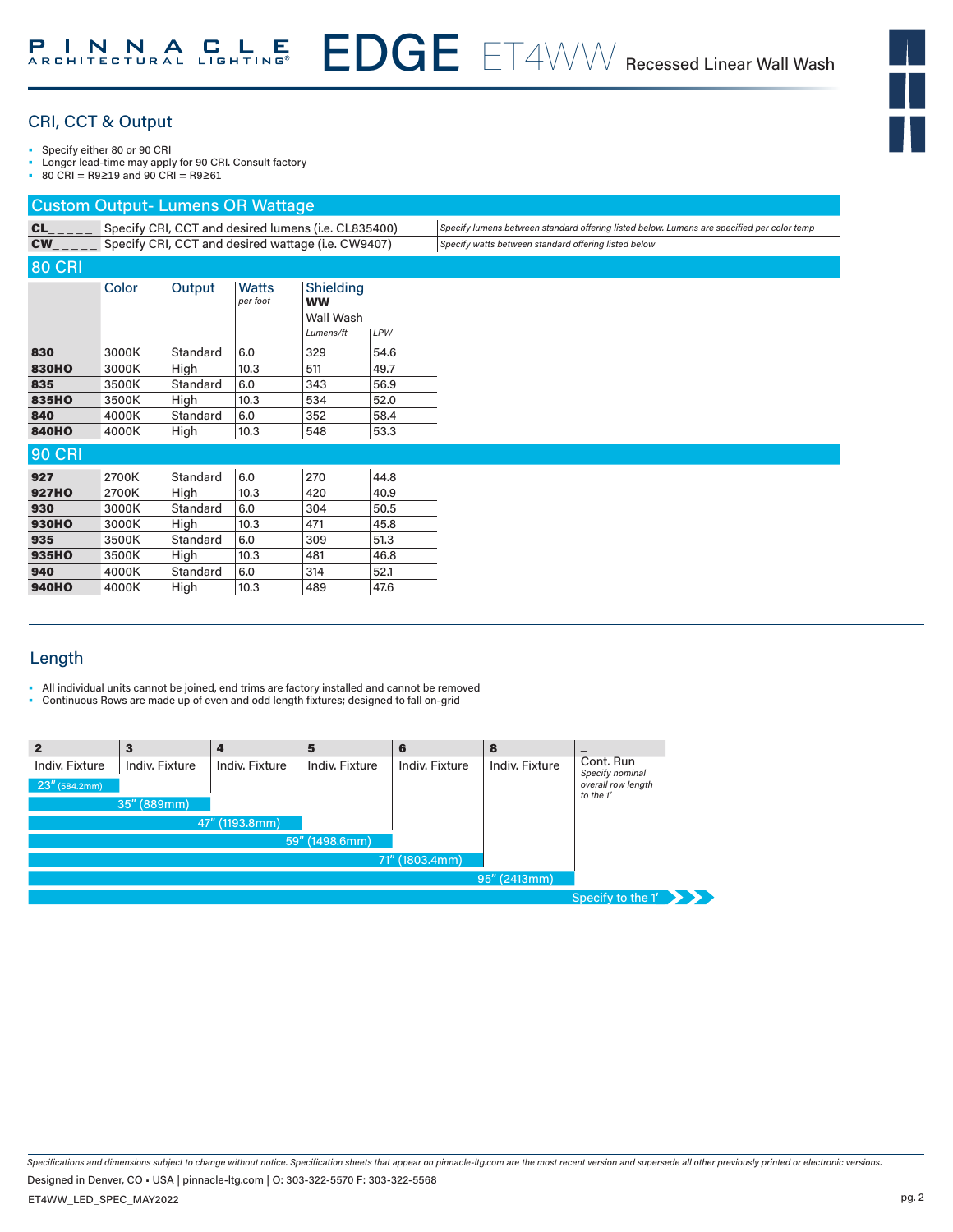

# CRI, CCT & Output

• Specify either 80 or 90 CRI

- Longer lead-time may apply for 90 CRI. Consult factory
- 80 CRI = R9≥19 and 90 CRI = R9≥61

# Custom Output- Lumens OR Wattage

| CL            | Specify CRI, CCT and desired lumens (i.e. CL835400) |          |                                                    |                                                  | Specify lumens between standard offering listed below. Lumens are specified per color temp |                                                      |
|---------------|-----------------------------------------------------|----------|----------------------------------------------------|--------------------------------------------------|--------------------------------------------------------------------------------------------|------------------------------------------------------|
| <b>CW</b>     |                                                     |          | Specify CRI, CCT and desired wattage (i.e. CW9407) |                                                  |                                                                                            | Specify watts between standard offering listed below |
| <b>80 CRI</b> |                                                     |          |                                                    |                                                  |                                                                                            |                                                      |
|               | Color                                               | Output   | <b>Watts</b><br>per foot                           | Shielding<br><b>WW</b><br>Wall Wash<br>Lumens/ft | <b>LPW</b>                                                                                 |                                                      |
| 830           | 3000K                                               | Standard | 6.0                                                | 329                                              | 54.6                                                                                       |                                                      |
| <b>830HO</b>  | 3000K                                               | High     | 10.3                                               | 511                                              | 49.7                                                                                       |                                                      |
| 835           | 3500K                                               | Standard | 6.0                                                | 343                                              | 56.9                                                                                       |                                                      |
| 835HO         | 3500K                                               | High     | 10.3                                               | 534                                              | 52.0                                                                                       |                                                      |
| 840           | 4000K                                               | Standard | 6.0                                                | 352                                              | 58.4                                                                                       |                                                      |
| <b>840HO</b>  | 4000K                                               | High     | 10.3                                               | 548                                              | 53.3                                                                                       |                                                      |
| <b>90 CRI</b> |                                                     |          |                                                    |                                                  |                                                                                            |                                                      |
| 927           | 2700K                                               | Standard | 6.0                                                | 270                                              | 44.8                                                                                       |                                                      |
| <b>927HO</b>  | 2700K                                               | High     | 10.3                                               | 420                                              | 40.9                                                                                       |                                                      |
| 930           | 3000K                                               | Standard | 6.0                                                | 304                                              | 50.5                                                                                       |                                                      |
| <b>930HO</b>  | 3000K                                               | High     | 10.3                                               | 471                                              | 45.8                                                                                       |                                                      |
| 935           | 3500K                                               | Standard | 6.0                                                | 309                                              | 51.3                                                                                       |                                                      |
| 935HO         | 3500K                                               | High     | 10.3                                               | 481                                              | 46.8                                                                                       |                                                      |
| 940           | 4000K                                               | Standard | 6.0                                                | 314                                              | 52.1                                                                                       |                                                      |
| <b>940HO</b>  | 4000K                                               | High     | 10.3                                               | 489                                              | 47.6                                                                                       |                                                      |
|               |                                                     |          |                                                    |                                                  |                                                                                            |                                                      |

# Length

- All individual units cannot be joined, end trims are factory installed and cannot be removed
- Continuous Rows are made up of even and odd length fixtures; designed to fall on-grid

| 2                | з              |                | 5              | 6              | 8              |                                 |
|------------------|----------------|----------------|----------------|----------------|----------------|---------------------------------|
| Indiv. Fixture   | Indiv. Fixture | Indiv. Fixture | Indiv. Fixture | Indiv. Fixture | Indiv. Fixture | Cont. Run<br>Specify nominal    |
| $23''$ (584.2mm) |                |                |                |                |                | overall row length<br>to the 1' |
|                  | 35" (889mm)    |                |                |                |                |                                 |
|                  |                | 47" (1193.8mm) |                |                |                |                                 |
|                  |                |                | 59" (1498.6mm) |                |                |                                 |
|                  |                |                |                | 71" (1803.4mm) |                |                                 |
|                  |                |                |                |                | 95" (2413mm)   |                                 |
|                  |                |                |                |                |                | Specify to the 1'               |

*Specifications and dimensions subject to change without notice. Specification sheets that appear on pinnacle-ltg.com are the most recent version and supersede all other previously printed or electronic versions.* Designed in Denver, CO • USA | pinnacle-ltg.com | O: 303-322-5570 F: 303-322-5568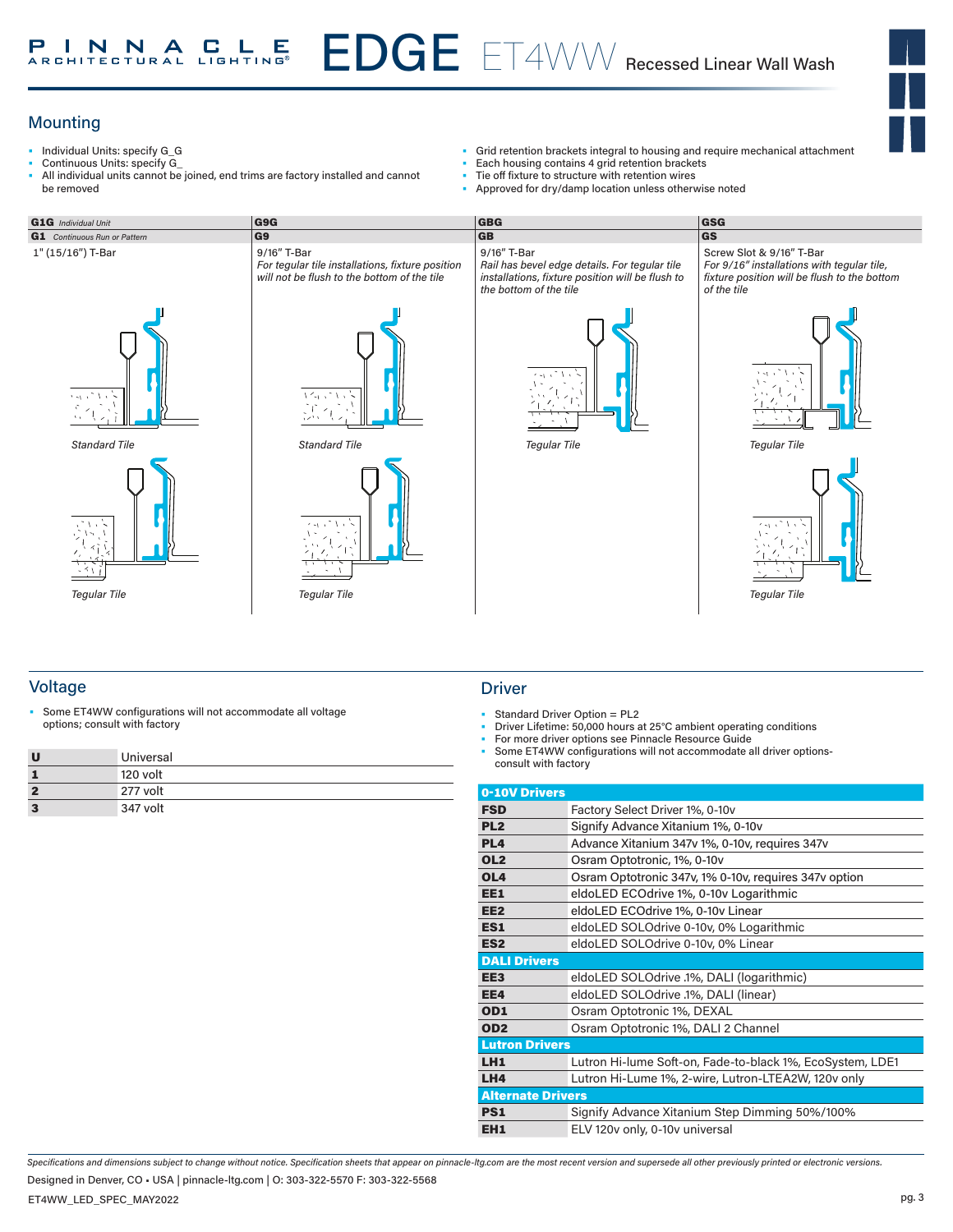## EDGE ET4WW Recessed Linear Wall Wash **INNACLE** Р

# **Mounting**

- Individual Units: specify G\_G
- Continuous Units: specify G\_
- All individual units cannot be joined, end trims are factory installed and cannot be removed
- Grid retention brackets integral to housing and require mechanical attachment<br>• Each bousing contains 4 grid retention brackets
- Each housing contains 4 grid retention brackets
- Tie off fixture to structure with retention wires<br>• Approved for dry/damp location unless other
- Approved for dry/damp location unless otherwise noted





*For 9/16" installations with tegular tile, fixture position will be flush to the bottom* 

Screw Slot & 9/16" T-Bar



*Tegular Tile*

# Voltage Driver and Driver and Driver and Driver and Driver and Driver and Driver

• Some ET4WW configurations will not accommodate all voltage options; consult with factory • Standard Driver Option = PL2

|   | Universal |
|---|-----------|
|   | 120 volt  |
|   | 277 volt  |
| з | 347 volt  |

- 
- Standard Driver Option = PL2<br>Driver Lifetime: 50,000 hours at 25°C ambient operating conditions
- For more driver options see Pinnacle Resource Guide
- Some ET4WW configurations will not accommodate all driver optionsconsult with factory

| 0-10V Drivers            |                                                           |
|--------------------------|-----------------------------------------------------------|
| <b>FSD</b>               | Factory Select Driver 1%, 0-10v                           |
| PL <sub>2</sub>          | Signify Advance Xitanium 1%, 0-10v                        |
| PL <sub>4</sub>          | Advance Xitanium 347v 1%, 0-10v, requires 347v            |
| OL <sub>2</sub>          | Osram Optotronic, 1%, 0-10v                               |
| OL <sub>4</sub>          | Osram Optotronic 347v, 1% 0-10v, requires 347v option     |
| EE1                      | eldoLED ECOdrive 1%, 0-10v Logarithmic                    |
| EE <sub>2</sub>          | eldoLED ECOdrive 1%, 0-10v Linear                         |
| ES1                      | eldoLED SOLOdrive 0-10v, 0% Logarithmic                   |
| ES <sub>2</sub>          | eldoLED SOLOdrive 0-10v, 0% Linear                        |
| <b>DALI Drivers</b>      |                                                           |
| EE <sub>3</sub>          | eldoLED SOLOdrive .1%, DALI (logarithmic)                 |
| EE4                      | eldoLED SOLOdrive .1%, DALI (linear)                      |
| OD1                      | Osram Optotronic 1%, DEXAL                                |
| OD <sub>2</sub>          | Osram Optotronic 1%, DALI 2 Channel                       |
| <b>Lutron Drivers</b>    |                                                           |
| LH1                      | Lutron Hi-lume Soft-on, Fade-to-black 1%, EcoSystem, LDE1 |
| LHA                      | Lutron Hi-Lume 1%, 2-wire, Lutron-LTEA2W, 120v only       |
| <b>Alternate Drivers</b> |                                                           |
| PS1                      | Signify Advance Xitanium Step Dimming 50%/100%            |
| EH <sub>1</sub>          | ELV 120v only, 0-10v universal                            |

*Specifications and dimensions subject to change without notice. Specification sheets that appear on pinnacle-ltg.com are the most recent version and supersede all other previously printed or electronic versions.*

Designed in Denver, CO • USA | pinnacle-ltg.com | O: 303-322-5570 F: 303-322-5568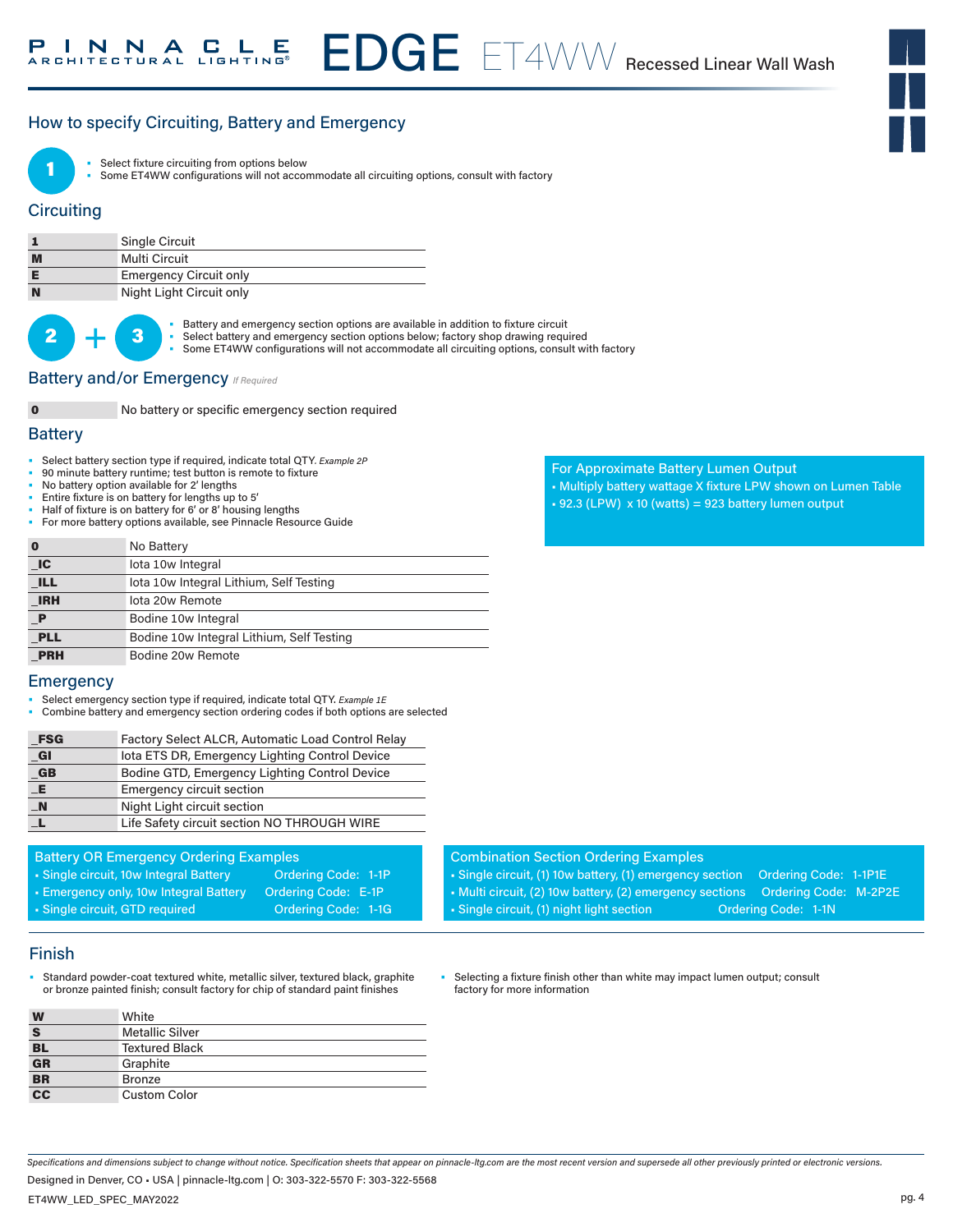# How to specify Circuiting, Battery and Emergency



Select fixture circuiting from options below

Some ET4WW configurations will not accommodate all circuiting options, consult with factory

## **Circuiting**

|   | <b>Single Circuit</b>         |
|---|-------------------------------|
| M | Multi Circuit                 |
|   | <b>Emergency Circuit only</b> |
| N | Night Light Circuit only      |

 $2$  +

- **3** Battery and emergency section options are available in addition to fixture circuit<br> **3** Select battery and emergency section options below; factory shop drawing requ
	- Select battery and emergency section options below; factory shop drawing required
	- Some ET4WW configurations will not accommodate all circuiting options, consult with factory

# **Battery and/or Emergency**  *If Required*

0 No battery or specific emergency section required

#### **Battery**

- Select battery section type if required, indicate total QTY*. Example 2P*
- 90 minute battery runtime; test button is remote to fixture
- No battery option available for 2' lengths
- Entire fixture is on battery for lengths up to 5'
- Half of fixture is on battery for 6' or 8' housing lengths
- For more battery options available, see Pinnacle Resource Guide

| $\bf{0}$                    | No Battery                                |
|-----------------------------|-------------------------------------------|
| $\overline{\phantom{a}}$ IC | lota 10w Integral                         |
| <b>ILL</b>                  | lota 10w Integral Lithium, Self Testing   |
| <b>IRH</b>                  | lota 20w Remote                           |
| $\mathbf P$                 | Bodine 10w Integral                       |
| <b>PLL</b>                  | Bodine 10w Integral Lithium, Self Testing |
| <b>PRH</b>                  | Bodine 20w Remote                         |

#### **Emergency**

- Select emergency section type if required, indicate total QTY. *Example 1E*
- Combine battery and emergency section ordering codes if both options are selected

| $_F$ SG          | Factory Select ALCR, Automatic Load Control Relay |
|------------------|---------------------------------------------------|
| $CI$             | lota ETS DR, Emergency Lighting Control Device    |
| $_GB$            | Bodine GTD, Emergency Lighting Control Device     |
| E                | <b>Emergency circuit section</b>                  |
| $\blacksquare$ N | Night Light circuit section                       |
|                  | Life Safety circuit section NO THROUGH WIRE       |
|                  |                                                   |

| <b>Battery OR Emergency Ordering Examples</b> |                            |
|-----------------------------------------------|----------------------------|
| • Single circuit, 10w Integral Battery        | Ordering Code: 1-1P        |
| • Emergency only, 10w Integral Battery        | <b>Ordering Code: E-1P</b> |
| · Single circuit, GTD required                | Ordering Code: 1-1G        |
|                                               |                            |

#### Finish

Standard powder-coat textured white, metallic silver, textured black, graphite or bronze painted finish; consult factory for chip of standard paint finishes

| W                                      | White                  |
|----------------------------------------|------------------------|
| S                                      | <b>Metallic Silver</b> |
| <b>BL</b>                              | <b>Textured Black</b>  |
| $\frac{1}{\overline{G}}$               | Graphite               |
| $rac{\overline{\text{BR}}}{\text{CC}}$ | Bronze                 |
|                                        | <b>Custom Color</b>    |

• Single circuit, (1) 10w battery, (1) emergency section Ordering Code: 1-1P1E • Multi circuit, (2) 10w battery, (2) emergency sections Ordering Code: M-2P2E

• Single circuit, (1) night light section **Ordering Code: 1-1N** 

Combination Section Ordering Examples

Selecting a fixture finish other than white may impact lumen output; consult factory for more information

*Specifications and dimensions subject to change without notice. Specification sheets that appear on pinnacle-ltg.com are the most recent version and supersede all other previously printed or electronic versions.*

Designed in Denver, CO • USA | pinnacle-ltg.com | O: 303-322-5570 F: 303-322-5568

#### For Approximate Battery Lumen Output

- Multiply battery wattage X fixture LPW shown on Lumen Table
- $\cdot$  92.3 (LPW) x 10 (watts) = 923 battery lumen output